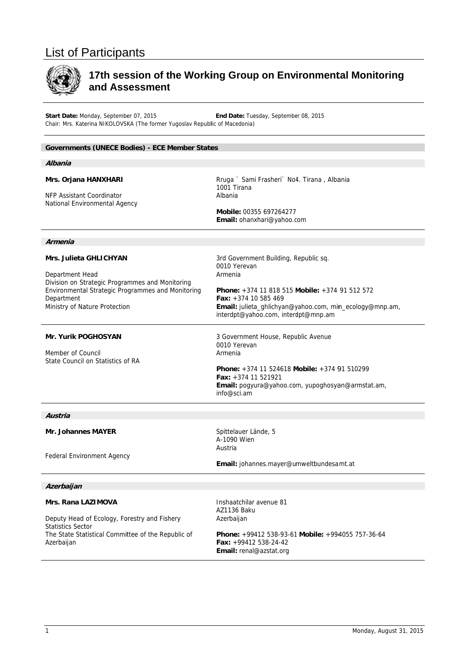# List of Participants



# 17th session of the Working Group on Environmental Monitoring and Assessment

Start Date: Monday, September 07, 2015 Chair: Mrs. Katerina NIKOLOVSKA (The former Yugoslav Republic of Macedonia) End Date: Tuesday, September 08, 2015

## Governments (UNECE Bodies) - ECE Member States

#### **Mrs. Orjana HANXHARI**

NFP Assistant Coordinator National Environmental Agency

of Macedonia)<br>3<br>Rruga ` Sami Frasheri` No4. Tirana , Albania 1001 Tirana Albania

**Mobile:** 003 55 697264277 Email: ohanxhari@yahoo.com

3rd Governm ment Building, R Republic sq.

#### **Armenia**

#### **Mrs. Julieta GHLICHYAN**

Department Head Division on Strategic Programmes and Monitoring Environmental Strategic Programmes and Monitoring Department Ministry of Nature Protection

#### **Mr. Yurik PO OGHOSYAN**

Member of Council State Council on Statistics o nof RA

3 Government House, Republic Avenue

interdpt@yahoo.com, interdpt@mnp.am

0010 Yerevan<br>Armenia<br>**Phone:** +374 11 818 515 **Mobile:** +374 91 512 572

Email: julieta\_ghlichyan@yahoo.com, min\_ecology@mnp.am,

0010 Yerevan Armenia

**Fax:** +374 1 0 585 469

0010 Yerevan Armenia

0010 Yerevan<br>Armenia<br>**Phone:** +374 11 524618 **Mobile:** +374 91 510299 **Fax:** +374 1 1 521921 Email: pogyura@yahoo.com, yupoghosyan@armstat.am, info@sci.am

#### **Austria**

**Mr. Johanne es MAYER**

Federal Environment Agency

# Spittelauer Lände, 5 A-1090 Wien Austria

#### **Azerbaijan**

#### **Mrs. Rana LA LAZIMOVA**

Federal Environment Agency<br>*Azerbaijan*<br>Mrs. Rana LAZIMOVA<br>Deputy Head of Ecology, Forestry and Fishery Statistics Sector The State Statistical Committee of the Republic of Azerbaijan

Inshaatchilar avenue 81 AZ1136 Baku Azerbaijan

AZ1136 Baku<br>Azerbaijan<br>**Phone:** +99412 538-93-61 **Mobile:** +994055 757-36-64 **Fax:** +99412 2 538-24-42 **Email:** renal @azstat.org

Email: johannes.mayer@umweltbundesamt.at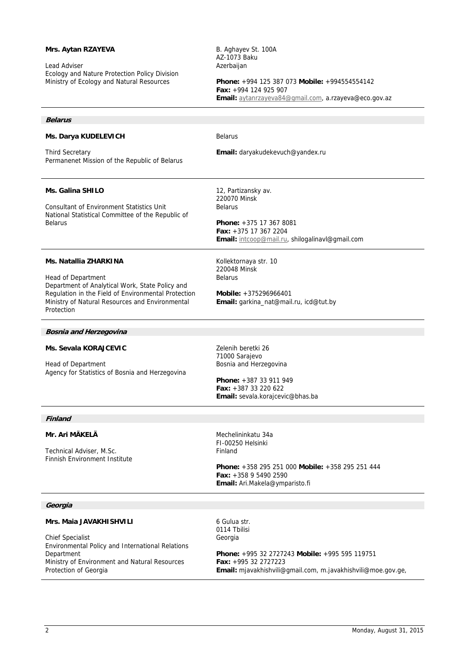# **Mrs. Aytan RZAYEVA**

Lead Adviser Ecology and Nature Protection Policy Division Ministry of Ecology and Natural Resources

B. Aghayev St. 100A AZ-1073 Baku **Azerbaijan** 

**Phone:** +994 125 387 073 **Mobile:** +994554554142 **Fax:** +994 124 925 907 **Email:** aytanrzayeva84@gmail.com, a.rzayeva@eco.gov.az

## **Belarus**

#### **Ms. Darya KUDELEVICH**

Third Secretary Permanenet Mission of the Republic of Belarus

## **Ms. Galina SHILO**

Consultant of Environment Statistics Unit National Statistical Committee of the Republic of Belarus

## Belarus

**Email:** daryakudekevuch@yandex.ru

12, Partizansky av. 220070 Minsk Belarus

**Phone:** +375 17 367 8081 **Fax:** +375 17 367 2204 **Email:** intcoop@mail.ru, shilogalinavl@gmail.com

## **Ms. Natallia ZHARKINA**

Head of Department Department of Analytical Work, State Policy and Regulation in the Field of Environmental Protection Ministry of Natural Resources and Environmental Protection

Kollektornaya str. 10 220048 Minsk Belarus

**Mobile:** +375296966401 **Email:** garkina\_nat@mail.ru, icd@tut.by

#### **Bosnia and Herzegovina**

#### **Ms. Sevala KORAJCEVIC**

Head of Department Agency for Statistics of Bosnia and Herzegovina Zelenih beretki 26 71000 Sarajevo Bosnia and Herzegovina

**Phone:** +387 33 911 949 **Fax:** +387 33 220 622 **Email:** sevala.korajcevic@bhas.ba

#### **Finland**

## **Mr. Ari MÄKELÄ**

Technical Adviser, M.Sc. Finnish Environment Institute Mechelininkatu 34a FI-00250 Helsinki Finland

6 Gulua str.

**Phone:** +358 295 251 000 **Mobile:** +358 295 251 444 **Fax:** +358 9 5490 2590 **Email:** Ari.Makela@ymparisto.fi

## **Georgia**

## **Mrs. Maia JAVAKHISHVILI**

Chief Specialist Environmental Policy and International Relations Department Ministry of Environment and Natural Resources Protection of Georgia

0114 Tbilisi Georgia **Phone:** +995 32 2727243 **Mobile:** +995 595 119751 **Fax:** +995 32 2727223 **Email:** mjavakhishvili@gmail.com, m.javakhishvili@moe.gov.ge,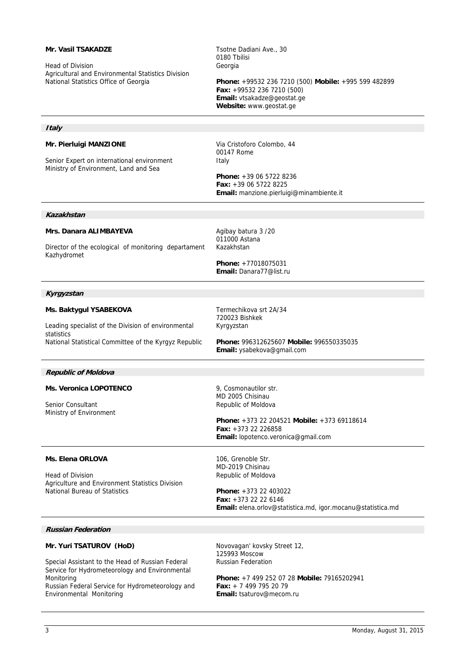#### **Mr. Vasil TSAKADZE**  Head of Division Agricultural and Environmental Statistics Division National Statistics Office of Georgia Tsotne Dadiani Ave., 30 0180 Tbilisi Georgia **Phone:** +99532 236 7210 (500) **Mobile:** +995 599 482899 **Fax:** +99532 236 7210 (500) **Email:** vtsakadze@geostat.ge **Website:** www.geostat.ge **Italy Mr. Pierluigi MANZIONE**  Senior Expert on international environment Ministry of Environment, Land and Sea Via Cristoforo Colombo, 44 00147 Rome Italy **Phone:** +39 06 5722 8236 **Fax:** +39 06 5722 8225 **Email:** manzione.pierluigi@minambiente.it **Kazakhstan Mrs. Danara ALIMBAYEVA** Director of the ecological of monitoring departament Kazhydromet Agibay batura 3 /20 011000 Astana Kazakhstan **Phone:** +77018075031 **Email:** Danara77@list.ru **Kyrgyzstan Ms. Baktygul YSABEKOVA** Leading specialist of the Division of environmental statistics National Statistical Committee of the Kyrgyz Republic Termechikova srt 2A/34 720023 Bishkek Kyrgyzstan **Phone:** 996312625607 **Mobile:** 996550335035 **Email:** ysabekova@gmail.com **Republic of Moldova Ms. Veronica LOPOTENCO**  Senior Consultant Ministry of Environment 9, Cosmonautilor str. MD 2005 Chisinau Republic of Moldova **Phone:** +373 22 204521 **Mobile:** +373 69118614 **Fax:** +373 22 226858 **Email:** lopotenco.veronica@gmail.com **Ms. Elena ORLOVA** Head of Division Agriculture and Environment Statistics Division National Bureau of Statistics 106, Grenoble Str. MD-2019 Chisinau Republic of Moldova **Phone:** +373 22 403022 **Fax:** +373 22 22 6146 **Email:** elena.orlov@statistica.md, igor.mocanu@statistica.md **Russian Federation Mr. Yuri TSATUROV (HoD)**  Special Assistant to the Head of Russian Federal Service for Hydrometeorology and Environmental Monitoring Russian Federal Service for Hydrometeorology and Environmental Monitoring Novovagan' kovsky Street 12, 125993 Moscow Russian Federation **Phone:** +7 499 252 07 28 **Mobile:** 79165202941 **Fax:** + 7 499 795 20 79 **Email:** tsaturov@mecom.ru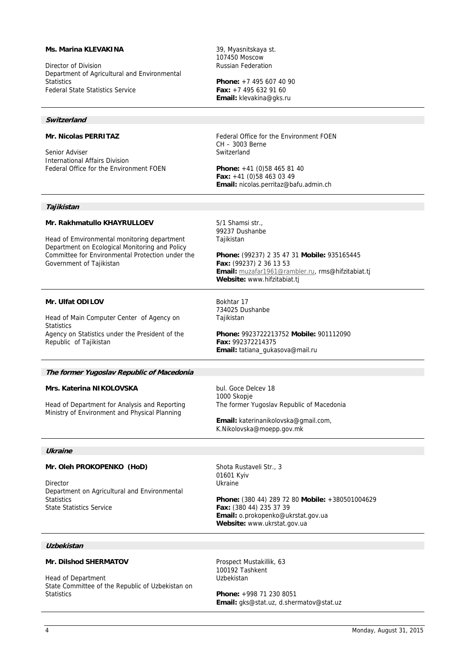## **Ms. Marina KLEVAKINA**

Director of Division Department of Agricultural and Environmental **Statistics** Federal State Statistics Service

#### **Switzerland**

## **Mr. Nicolas PERRITAZ**

Senior Adviser International Affairs Division Federal Office for the Environment FOEN 39, Myasnitskaya st. 107450 Moscow Russian Federation

**Phone:** +7 495 607 40 90 **Fax:** +7 495 632 91 60 **Email:** klevakina@gks.ru

Federal Office for the Environment FOEN CH – 3003 Berne Switzerland

**Phone:** +41 (0)58 465 81 40 **Fax:** +41 (0)58 463 03 49 **Email:** nicolas.perritaz@bafu.admin.ch

#### **Tajikistan**

#### **Mr. Rakhmatullo KHAYRULLOEV**

Head of Emvironmental monitoring department Department on Ecological Monitoring and Policy Committee for Environmental Protection under the Government of Tajikistan

#### **Mr. Ulfat ODILOV**

Head of Main Computer Center of Agency on **Statistics** Agency on Statistics under the President of the Republic of Tajikistan

5/1 Shamsi str., 99237 Dushanbe Tajikistan

**Phone:** (99237) 2 35 47 31 **Mobile:** 935165445 **Fax:** (99237) 2 36 13 53 **Email:** muzafar1961@rambler.ru, rms@hifzitabiat.tj **Website:** www.hifzitabiat.tj

Bokhtar 17 734025 Dushanbe **Tajikistan** 

**Phone:** 9923722213752 **Mobile:** 901112090 **Fax:** 992372214375 **Email:** tatiana\_gukasova@mail.ru

#### **The former Yugoslav Republic of Macedonia**

#### **Mrs. Katerina NIKOLOVSKA**

Head of Department for Analysis and Reporting Ministry of Environment and Physical Planning

bul. Goce Delcev 18 1000 Skopje The former Yugoslav Republic of Macedonia

**Email:** katerinanikolovska@gmail.com, K.Nikolovska@moepp.gov.mk

## **Ukraine**

#### **Mr. Oleh PROKOPENKO (HoD)**

Director Department on Agricultural and Environmental **Statistics** State Statistics Service

Shota Rustaveli Str., 3 01601 Kyiv Ukraine

**Phone:** (380 44) 289 72 80 **Mobile:** +380501004629 **Fax:** (380 44) 235 37 39 **Email:** o.prokopenko@ukrstat.gov.ua **Website:** www.ukrstat.gov.ua

## **Uzbekistan**

## **Mr. Dilshod SHERMATOV**

Head of Department State Committee of the Republic of Uzbekistan on **Statistics** 

Prospect Mustakillik, 63 100192 Tashkent Uzbekistan

**Phone:** +998 71 230 8051 **Email:** gks@stat.uz, d.shermatov@stat.uz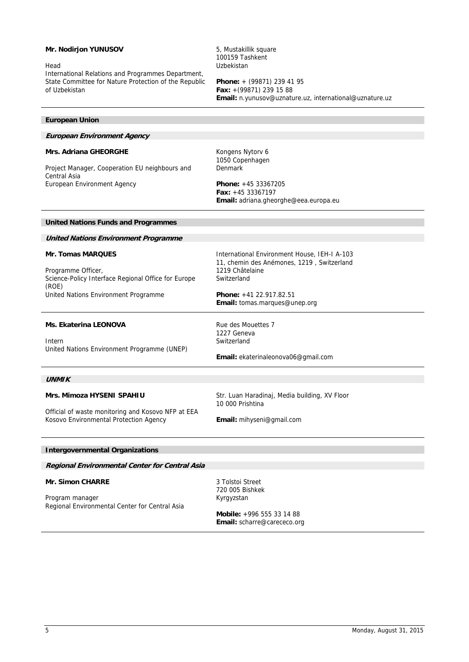## **Mr. Nodirjon YUNUSOV**

Head

International Relations and Programmes Department, State Committee for Nature Protection of the Republic of Uzbekistan

5, Mustakillik square 100159 Tashkent Uzbekistan

**Phone:** + (99871) 239 41 95 **Fax:** +(99871) 239 15 88 **Email:** n.yunusov@uznature.uz, international@uznature.uz

## **European Union**

## **European Environment Agency**

## **Mrs. Adriana GHEORGHE**

Project Manager, Cooperation EU neighbours and Central Asia European Environment Agency

Kongens Nytorv 6 1050 Copenhagen Denmark

**Phone:** +45 33367205 **Fax:** +45 33367197 **Email:** adriana.gheorghe@eea.europa.eu

#### **United Nations Funds and Programmes**

**United Nations Environment Programme**

## **Mr. Tomas MARQUES**

Programme Officer, Science-Policy Interface Regional Office for Europe (ROE) United Nations Environment Programme

International Environment House, IEH-I A-103 11, chemin des Anémones, 1219 , Switzerland 1219 Châtelaine Switzerland

**Phone:** +41 22.917.82.51 **Email:** tomas.marques@unep.org

#### **Ms. Ekaterina LEONOVA**

Intern United Nations Environment Programme (UNEP) Rue des Mouettes 7 1227 Geneva Switzerland

#### **Email:** ekaterinaleonova06@gmail.com

#### **UNMIK**

## **Mrs. Mimoza HYSENI SPAHIU**

Str. Luan Haradinaj, Media building, XV Floor 10 000 Prishtina

Official of waste monitoring and Kosovo NFP at EEA Kosovo Environmental Protection Agency

**Email:** mihyseni@gmail.com

#### **Intergovernmental Organizations**

**Regional Environmental Center for Central Asia**

## **Mr. Simon CHARRE**

Program manager Regional Environmental Center for Central Asia 3 Tolstoi Street 720 005 Bishkek Kyrgyzstan

**Mobile:** +996 555 33 14 88 **Email:** scharre@carececo.org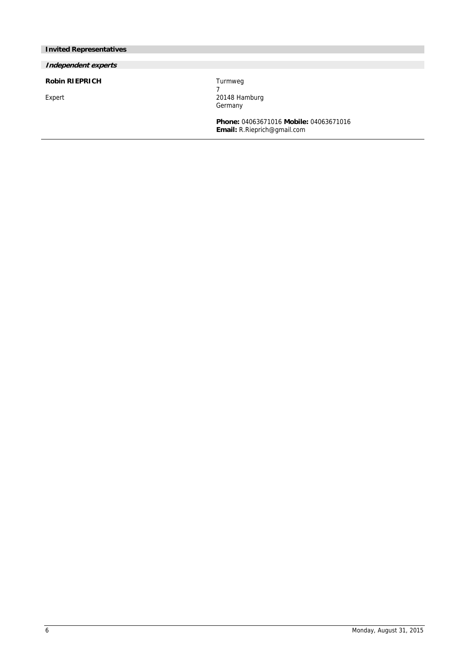# **Invited Representatives**

# **Independent experts**

**Robin RIEPRICH** 

Expert

Turmweg 7 20148 Hamburg **Germany** 

**Phone:** 04063671016 **Mobile:** 04063671016 **Email:** R.Rieprich@gmail.com